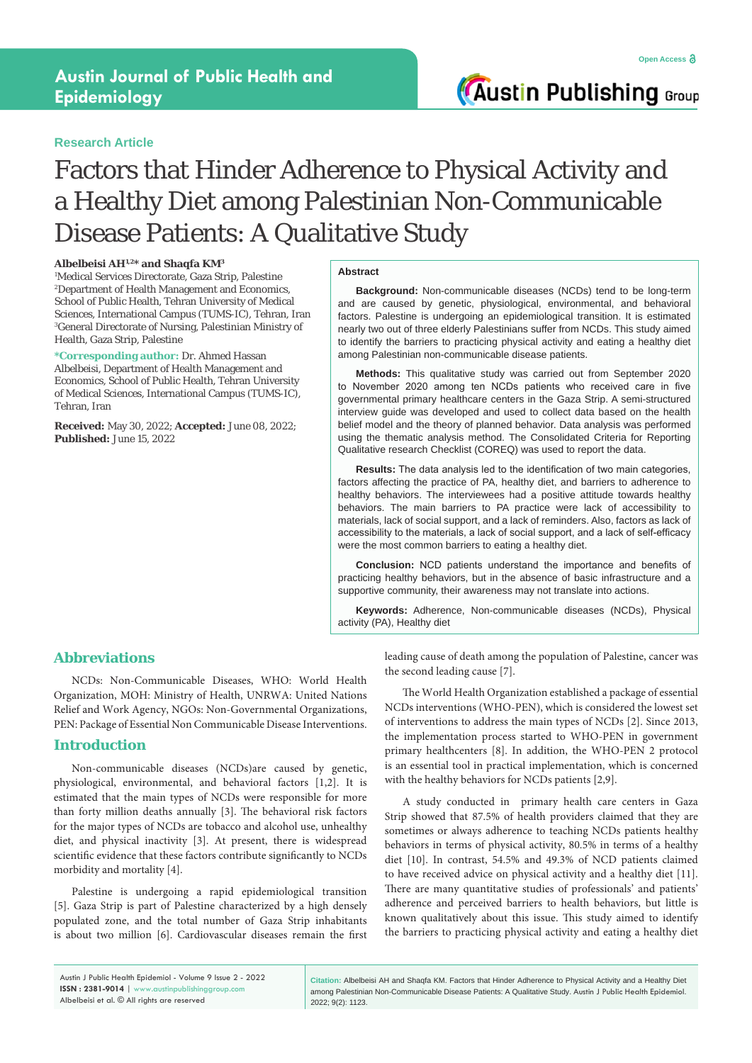**Austin Publishing Group** 

# **Research Article**

# Factors that Hinder Adherence to Physical Activity and a Healthy Diet among Palestinian Non-Communicable Disease Patients: A Qualitative Study

### **Albelbeisi AH1,2\* and Shaqfa KM3**

1 Medical Services Directorate, Gaza Strip, Palestine 2 Department of Health Management and Economics, School of Public Health, Tehran University of Medical Sciences, International Campus (TUMS-IC), Tehran, Iran 3 General Directorate of Nursing, Palestinian Ministry of Health, Gaza Strip, Palestine

**\*Corresponding author:** Dr. Ahmed Hassan Albelbeisi, Department of Health Management and Economics, School of Public Health, Tehran University of Medical Sciences, International Campus (TUMS-IC), Tehran, Iran

**Received:** May 30, 2022; **Accepted:** June 08, 2022; **Published:** June 15, 2022

### **Abstract**

**Background:** Non-communicable diseases (NCDs) tend to be long-term and are caused by genetic, physiological, environmental, and behavioral factors. Palestine is undergoing an epidemiological transition. It is estimated nearly two out of three elderly Palestinians suffer from NCDs. This study aimed to identify the barriers to practicing physical activity and eating a healthy diet among Palestinian non-communicable disease patients.

**Methods:** This qualitative study was carried out from September 2020 to November 2020 among ten NCDs patients who received care in five governmental primary healthcare centers in the Gaza Strip. A semi-structured interview guide was developed and used to collect data based on the health belief model and the theory of planned behavior. Data analysis was performed using the thematic analysis method. The Consolidated Criteria for Reporting Qualitative research Checklist (COREQ) was used to report the data.

**Results:** The data analysis led to the identification of two main categories, factors affecting the practice of PA, healthy diet, and barriers to adherence to healthy behaviors. The interviewees had a positive attitude towards healthy behaviors. The main barriers to PA practice were lack of accessibility to materials, lack of social support, and a lack of reminders. Also, factors as lack of accessibility to the materials, a lack of social support, and a lack of self-efficacy were the most common barriers to eating a healthy diet.

**Conclusion:** NCD patients understand the importance and benefits of practicing healthy behaviors, but in the absence of basic infrastructure and a supportive community, their awareness may not translate into actions.

**Keywords:** Adherence, Non-communicable diseases (NCDs), Physical activity (PA), Healthy diet

# **Abbreviations**

NCDs: Non-Communicable Diseases, WHO: World Health Organization, MOH: Ministry of Health, UNRWA: United Nations Relief and Work Agency, NGOs: Non-Governmental Organizations, PEN: Package of Essential Non Communicable Disease Interventions.

# **Introduction**

Non-communicable diseases (NCDs)are caused by genetic, physiological, environmental, and behavioral factors [1,2]. It is estimated that the main types of NCDs were responsible for more than forty million deaths annually [3]. The behavioral risk factors for the major types of NCDs are tobacco and alcohol use, unhealthy diet, and physical inactivity [3]. At present, there is widespread scientific evidence that these factors contribute significantly to NCDs morbidity and mortality [4].

Palestine is undergoing a rapid epidemiological transition [5]. Gaza Strip is part of Palestine characterized by a high densely populated zone, and the total number of Gaza Strip inhabitants is about two million [6]. Cardiovascular diseases remain the first leading cause of death among the population of Palestine, cancer was the second leading cause [7].

The World Health Organization established a package of essential NCDs interventions (WHO-PEN), which is considered the lowest set of interventions to address the main types of NCDs [2]. Since 2013, the implementation process started to WHO-PEN in government primary healthcenters [8]. In addition, the WHO-PEN 2 protocol is an essential tool in practical implementation, which is concerned with the healthy behaviors for NCDs patients [2,9].

A study conducted in primary health care centers in Gaza Strip showed that 87.5% of health providers claimed that they are sometimes or always adherence to teaching NCDs patients healthy behaviors in terms of physical activity, 80.5% in terms of a healthy diet [10]. In contrast, 54.5% and 49.3% of NCD patients claimed to have received advice on physical activity and a healthy diet [11]. There are many quantitative studies of professionals' and patients' adherence and perceived barriers to health behaviors, but little is known qualitatively about this issue. This study aimed to identify the barriers to practicing physical activity and eating a healthy diet

**Citation:** Albelbeisi AH and Shaqfa KM. Factors that Hinder Adherence to Physical Activity and a Healthy Diet among Palestinian Non-Communicable Disease Patients: A Qualitative Study. Austin J Public Health Epidemiol. 2022; 9(2): 1123.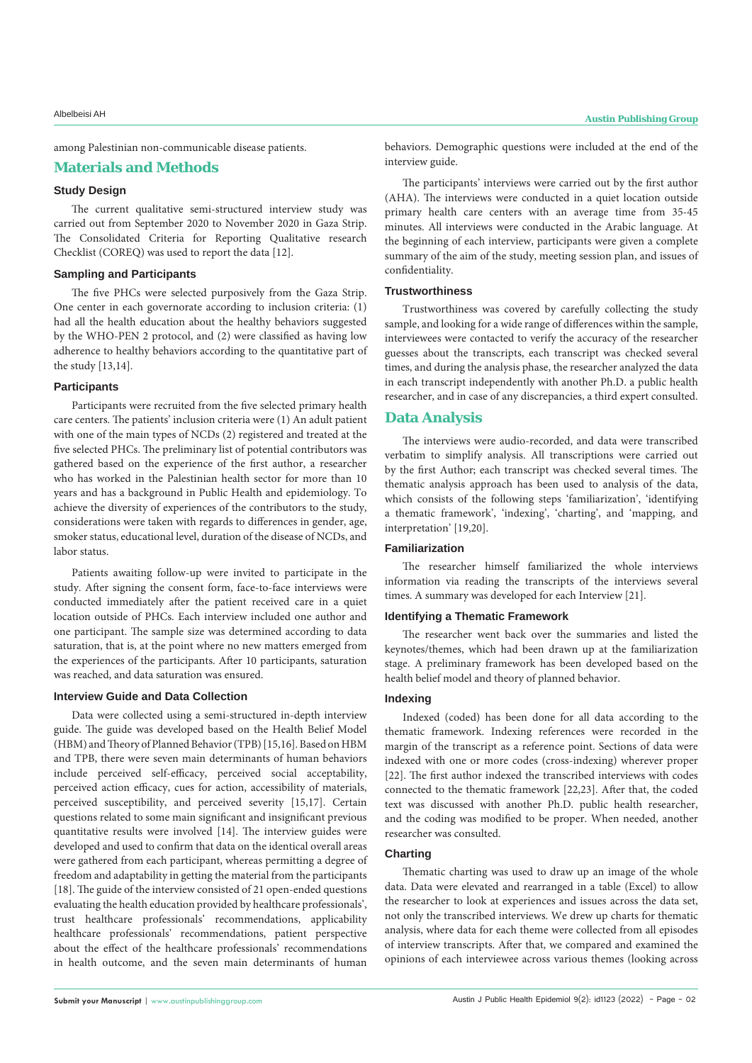among Palestinian non-communicable disease patients.

# **Materials and Methods**

# **Study Design**

The current qualitative semi-structured interview study was carried out from September 2020 to November 2020 in Gaza Strip. The Consolidated Criteria for Reporting Qualitative research Checklist (COREQ) was used to report the data [12].

### **Sampling and Participants**

The five PHCs were selected purposively from the Gaza Strip. One center in each governorate according to inclusion criteria: (1) had all the health education about the healthy behaviors suggested by the WHO-PEN 2 protocol, and (2) were classified as having low adherence to healthy behaviors according to the quantitative part of the study [13,14].

### **Participants**

Participants were recruited from the five selected primary health care centers. The patients' inclusion criteria were (1) An adult patient with one of the main types of NCDs (2) registered and treated at the five selected PHCs. The preliminary list of potential contributors was gathered based on the experience of the first author, a researcher who has worked in the Palestinian health sector for more than 10 years and has a background in Public Health and epidemiology. To achieve the diversity of experiences of the contributors to the study, considerations were taken with regards to differences in gender, age, smoker status, educational level, duration of the disease of NCDs, and labor status.

Patients awaiting follow-up were invited to participate in the study. After signing the consent form, face-to-face interviews were conducted immediately after the patient received care in a quiet location outside of PHCs. Each interview included one author and one participant. The sample size was determined according to data saturation, that is, at the point where no new matters emerged from the experiences of the participants. After 10 participants, saturation was reached, and data saturation was ensured.

# **Interview Guide and Data Collection**

Data were collected using a semi-structured in-depth interview guide. The guide was developed based on the Health Belief Model (HBM) and Theory of Planned Behavior (TPB) [15,16]. Based on HBM and TPB, there were seven main determinants of human behaviors include perceived self-efficacy, perceived social acceptability, perceived action efficacy, cues for action, accessibility of materials, perceived susceptibility, and perceived severity [15,17]. Certain questions related to some main significant and insignificant previous quantitative results were involved [14]. The interview guides were developed and used to confirm that data on the identical overall areas were gathered from each participant, whereas permitting a degree of freedom and adaptability in getting the material from the participants [18]. The guide of the interview consisted of 21 open-ended questions evaluating the health education provided by healthcare professionals', trust healthcare professionals' recommendations, applicability healthcare professionals' recommendations, patient perspective about the effect of the healthcare professionals' recommendations in health outcome, and the seven main determinants of human behaviors. Demographic questions were included at the end of the interview guide.

The participants' interviews were carried out by the first author (AHA). The interviews were conducted in a quiet location outside primary health care centers with an average time from 35-45 minutes. All interviews were conducted in the Arabic language. At the beginning of each interview, participants were given a complete summary of the aim of the study, meeting session plan, and issues of confidentiality.

### **Trustworthiness**

Trustworthiness was covered by carefully collecting the study sample, and looking for a wide range of differences within the sample, interviewees were contacted to verify the accuracy of the researcher guesses about the transcripts, each transcript was checked several times, and during the analysis phase, the researcher analyzed the data in each transcript independently with another Ph.D. a public health researcher, and in case of any discrepancies, a third expert consulted.

# **Data Analysis**

The interviews were audio-recorded, and data were transcribed verbatim to simplify analysis. All transcriptions were carried out by the first Author; each transcript was checked several times. The thematic analysis approach has been used to analysis of the data, which consists of the following steps 'familiarization', 'identifying a thematic framework', 'indexing', 'charting', and 'mapping, and interpretation' [19,20].

# **Familiarization**

The researcher himself familiarized the whole interviews information via reading the transcripts of the interviews several times. A summary was developed for each Interview [21].

### **Identifying a Thematic Framework**

The researcher went back over the summaries and listed the keynotes/themes, which had been drawn up at the familiarization stage. A preliminary framework has been developed based on the health belief model and theory of planned behavior.

# **Indexing**

Indexed (coded) has been done for all data according to the thematic framework. Indexing references were recorded in the margin of the transcript as a reference point. Sections of data were indexed with one or more codes (cross-indexing) wherever proper [22]. The first author indexed the transcribed interviews with codes connected to the thematic framework [22,23]. After that, the coded text was discussed with another Ph.D. public health researcher, and the coding was modified to be proper. When needed, another researcher was consulted.

# **Charting**

Thematic charting was used to draw up an image of the whole data. Data were elevated and rearranged in a table (Excel) to allow the researcher to look at experiences and issues across the data set, not only the transcribed interviews. We drew up charts for thematic analysis, where data for each theme were collected from all episodes of interview transcripts. After that, we compared and examined the opinions of each interviewee across various themes (looking across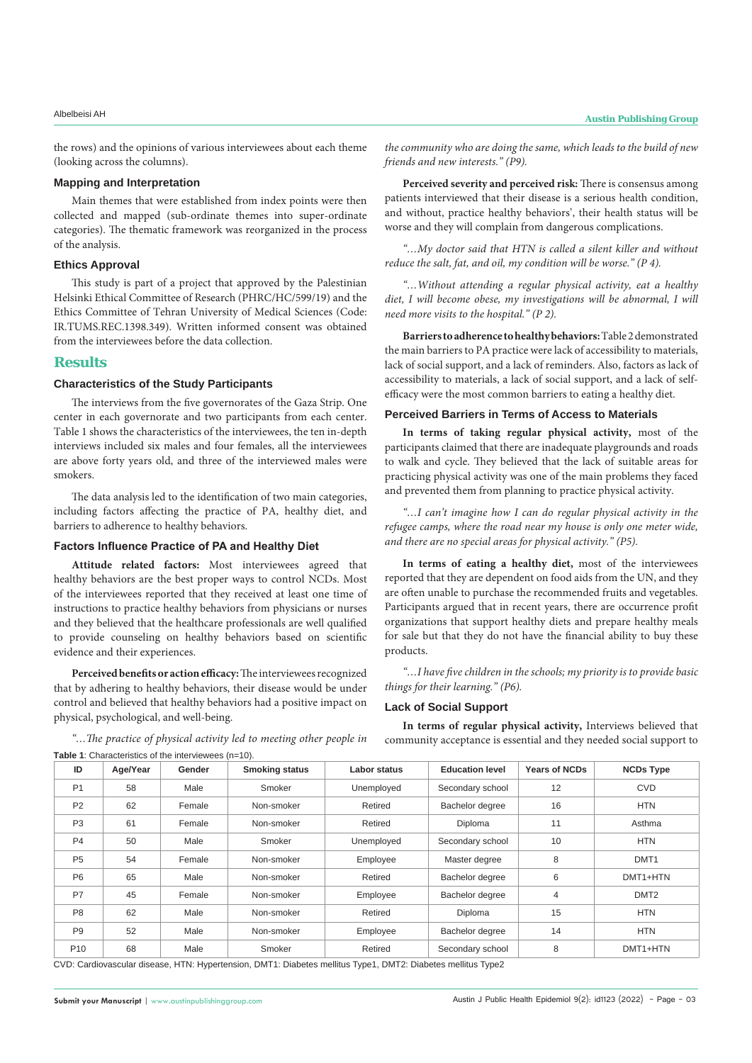the rows) and the opinions of various interviewees about each theme (looking across the columns).

### **Mapping and Interpretation**

Main themes that were established from index points were then collected and mapped (sub-ordinate themes into super-ordinate categories). The thematic framework was reorganized in the process of the analysis.

### **Ethics Approval**

This study is part of a project that approved by the Palestinian Helsinki Ethical Committee of Research (PHRC/HC/599/19) and the Ethics Committee of Tehran University of Medical Sciences (Code: IR.TUMS.REC.1398.349). Written informed consent was obtained from the interviewees before the data collection.

# **Results**

### **Characteristics of the Study Participants**

The interviews from the five governorates of the Gaza Strip. One center in each governorate and two participants from each center. Table 1 shows the characteristics of the interviewees, the ten in-depth interviews included six males and four females, all the interviewees are above forty years old, and three of the interviewed males were smokers.

The data analysis led to the identification of two main categories, including factors affecting the practice of PA, healthy diet, and barriers to adherence to healthy behaviors.

# **Factors Influence Practice of PA and Healthy Diet**

**Attitude related factors:** Most interviewees agreed that healthy behaviors are the best proper ways to control NCDs. Most of the interviewees reported that they received at least one time of instructions to practice healthy behaviors from physicians or nurses and they believed that the healthcare professionals are well qualified to provide counseling on healthy behaviors based on scientific evidence and their experiences.

**Perceived benefits or action efficacy:** The interviewees recognized that by adhering to healthy behaviors, their disease would be under control and believed that healthy behaviors had a positive impact on physical, psychological, and well-being.

*"…The practice of physical activity led to meeting other people in*  **Table 1**: Characteristics of the interviewees (n=10).

*the community who are doing the same, which leads to the build of new friends and new interests." (P9).*

**Perceived severity and perceived risk:** There is consensus among patients interviewed that their disease is a serious health condition, and without, practice healthy behaviors', their health status will be worse and they will complain from dangerous complications.

*"…My doctor said that HTN is called a silent killer and without reduce the salt, fat, and oil, my condition will be worse." (P 4).*

*"…Without attending a regular physical activity, eat a healthy diet, I will become obese, my investigations will be abnormal, I will need more visits to the hospital." (P 2).*

**Barriers to adherence to healthy behaviors:** Table 2 demonstrated the main barriers to PA practice were lack of accessibility to materials, lack of social support, and a lack of reminders. Also, factors as lack of accessibility to materials, a lack of social support, and a lack of selfefficacy were the most common barriers to eating a healthy diet.

# **Perceived Barriers in Terms of Access to Materials**

**In terms of taking regular physical activity,** most of the participants claimed that there are inadequate playgrounds and roads to walk and cycle. They believed that the lack of suitable areas for practicing physical activity was one of the main problems they faced and prevented them from planning to practice physical activity.

*"…I can't imagine how I can do regular physical activity in the refugee camps, where the road near my house is only one meter wide, and there are no special areas for physical activity." (P5).*

**In terms of eating a healthy diet,** most of the interviewees reported that they are dependent on food aids from the UN, and they are often unable to purchase the recommended fruits and vegetables. Participants argued that in recent years, there are occurrence profit organizations that support healthy diets and prepare healthy meals for sale but that they do not have the financial ability to buy these products.

*"…I have five children in the schools; my priority is to provide basic things for their learning." (P6).*

### **Lack of Social Support**

**In terms of regular physical activity,** Interviews believed that community acceptance is essential and they needed social support to

| ID              | Age/Year | Gender | <b>Smoking status</b> | Labor status | <b>Education level</b> | <b>Years of NCDs</b> | <b>NCDs Type</b> |
|-----------------|----------|--------|-----------------------|--------------|------------------------|----------------------|------------------|
| P <sub>1</sub>  | 58       | Male   | Smoker                | Unemployed   | Secondary school       | 12                   | <b>CVD</b>       |
| P <sub>2</sub>  | 62       | Female | Non-smoker            | Retired      | Bachelor degree        | 16                   | <b>HTN</b>       |
| P <sub>3</sub>  | 61       | Female | Non-smoker            | Retired      | Diploma                | 11                   | Asthma           |
| <b>P4</b>       | 50       | Male   | Smoker                | Unemployed   | Secondary school       | 10                   | <b>HTN</b>       |
| <b>P5</b>       | 54       | Female | Non-smoker            | Employee     | Master degree          | 8                    | DMT <sub>1</sub> |
| P <sub>6</sub>  | 65       | Male   | Non-smoker            | Retired      | Bachelor degree        | 6                    | DMT1+HTN         |
| <b>P7</b>       | 45       | Female | Non-smoker            | Employee     | Bachelor degree        | $\overline{4}$       | DMT <sub>2</sub> |
| P <sub>8</sub>  | 62       | Male   | Non-smoker            | Retired      | Diploma                | 15                   | <b>HTN</b>       |
| P <sub>9</sub>  | 52       | Male   | Non-smoker            | Employee     | Bachelor degree        | 14                   | <b>HTN</b>       |
| P <sub>10</sub> | 68       | Male   | Smoker                | Retired      | Secondary school       | 8                    | DMT1+HTN         |

CVD: Cardiovascular disease, HTN: Hypertension, DMT1: Diabetes mellitus Type1, DMT2: Diabetes mellitus Type2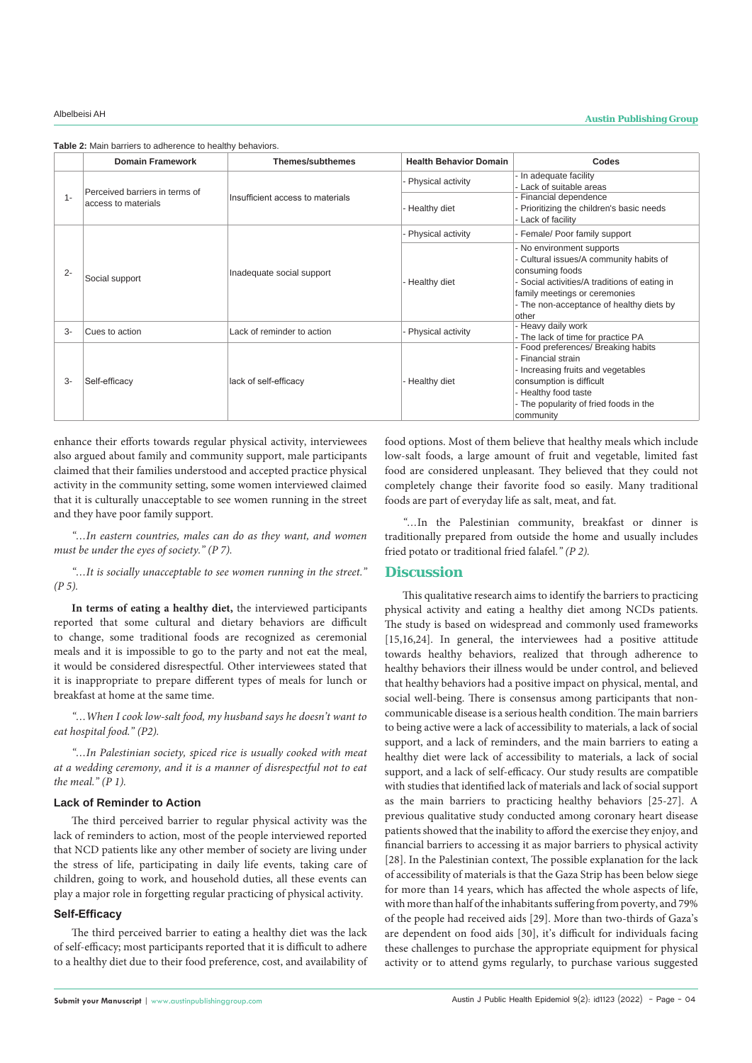|       | <b>Domain Framework</b>        | <b>Themes/subthemes</b>          | <b>Health Behavior Domain</b> | Codes                                                                                                                                                                                                                          |  |
|-------|--------------------------------|----------------------------------|-------------------------------|--------------------------------------------------------------------------------------------------------------------------------------------------------------------------------------------------------------------------------|--|
|       | Perceived barriers in terms of |                                  | - Physical activity           | - In adequate facility<br>- Lack of suitable areas                                                                                                                                                                             |  |
| $1 -$ | access to materials            | Insufficient access to materials | - Healthy diet                | - Financial dependence<br>- Prioritizing the children's basic needs<br>- Lack of facility                                                                                                                                      |  |
|       |                                |                                  | - Physical activity           | - Female/ Poor family support                                                                                                                                                                                                  |  |
| $2 -$ | Social support                 | Inadequate social support        | - Healthy diet                | - No environment supports<br>- Cultural issues/A community habits of<br>consuming foods<br>- Social activities/A traditions of eating in<br>family meetings or ceremonies<br>- The non-acceptance of healthy diets by<br>other |  |
| 3-    | Cues to action                 | Lack of reminder to action       | - Physical activity           | - Heavy daily work<br>- The lack of time for practice PA                                                                                                                                                                       |  |
| $3-$  | Self-efficacy                  | lack of self-efficacy            | - Healthy diet                | - Food preferences/ Breaking habits<br>- Financial strain<br>- Increasing fruits and vegetables<br>consumption is difficult<br>- Healthy food taste<br>- The popularity of fried foods in the<br>community                     |  |

**Table 2:** Main barriers to adherence to healthy behaviors.

enhance their efforts towards regular physical activity, interviewees also argued about family and community support, male participants claimed that their families understood and accepted practice physical activity in the community setting, some women interviewed claimed that it is culturally unacceptable to see women running in the street and they have poor family support.

*"…In eastern countries, males can do as they want, and women must be under the eyes of society." (P 7).*

*"…It is socially unacceptable to see women running in the street." (P 5).*

**In terms of eating a healthy diet,** the interviewed participants reported that some cultural and dietary behaviors are difficult to change, some traditional foods are recognized as ceremonial meals and it is impossible to go to the party and not eat the meal, it would be considered disrespectful. Other interviewees stated that it is inappropriate to prepare different types of meals for lunch or breakfast at home at the same time.

*"…When I cook low-salt food, my husband says he doesn't want to eat hospital food." (P2).*

*"…In Palestinian society, spiced rice is usually cooked with meat at a wedding ceremony, and it is a manner of disrespectful not to eat the meal." (P 1).*

# **Lack of Reminder to Action**

The third perceived barrier to regular physical activity was the lack of reminders to action, most of the people interviewed reported that NCD patients like any other member of society are living under the stress of life, participating in daily life events, taking care of children, going to work, and household duties, all these events can play a major role in forgetting regular practicing of physical activity.

### **Self-Efficacy**

The third perceived barrier to eating a healthy diet was the lack of self-efficacy; most participants reported that it is difficult to adhere to a healthy diet due to their food preference, cost, and availability of

food options. Most of them believe that healthy meals which include low-salt foods, a large amount of fruit and vegetable, limited fast food are considered unpleasant. They believed that they could not completely change their favorite food so easily. Many traditional foods are part of everyday life as salt, meat, and fat.

*"…*In the Palestinian community, breakfast or dinner is traditionally prepared from outside the home and usually includes fried potato or traditional fried falafel*." (P 2).*

# **Discussion**

This qualitative research aims to identify the barriers to practicing physical activity and eating a healthy diet among NCDs patients. The study is based on widespread and commonly used frameworks [15,16,24]. In general, the interviewees had a positive attitude towards healthy behaviors, realized that through adherence to healthy behaviors their illness would be under control, and believed that healthy behaviors had a positive impact on physical, mental, and social well-being. There is consensus among participants that noncommunicable disease is a serious health condition. The main barriers to being active were a lack of accessibility to materials, a lack of social support, and a lack of reminders, and the main barriers to eating a healthy diet were lack of accessibility to materials, a lack of social support, and a lack of self-efficacy. Our study results are compatible with studies that identified lack of materials and lack of social support as the main barriers to practicing healthy behaviors [25-27]. A previous qualitative study conducted among coronary heart disease patients showed that the inability to afford the exercise they enjoy, and financial barriers to accessing it as major barriers to physical activity [28]. In the Palestinian context, The possible explanation for the lack of accessibility of materials is that the Gaza Strip has been below siege for more than 14 years, which has affected the whole aspects of life, with more than half of the inhabitants suffering from poverty, and 79% of the people had received aids [29]. More than two-thirds of Gaza's are dependent on food aids [30], it's difficult for individuals facing these challenges to purchase the appropriate equipment for physical activity or to attend gyms regularly, to purchase various suggested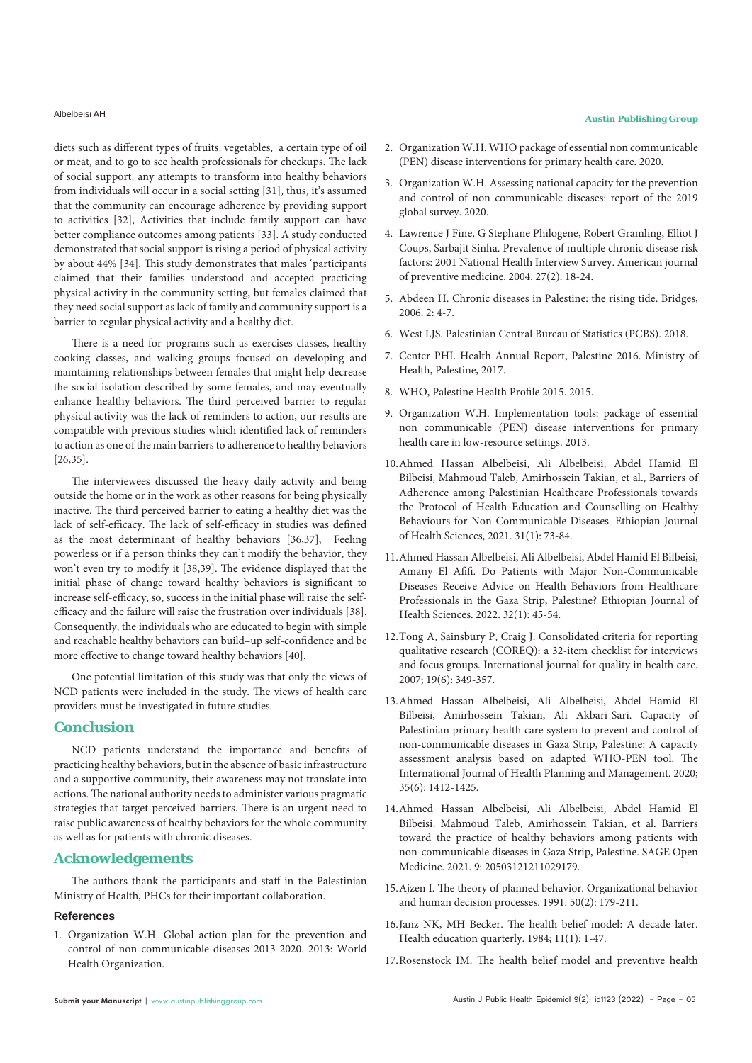diets such as different types of fruits, vegetables, a certain type of oil or meat, and to go to see health professionals for checkups. The lack of social support, any attempts to transform into healthy behaviors from individuals will occur in a social setting [31], thus, it's assumed that the community can encourage adherence by providing support to activities [32], Activities that include family support can have better compliance outcomes among patients [33]. A study conducted demonstrated that social support is rising a period of physical activity by about 44% [34]. This study demonstrates that males 'participants claimed that their families understood and accepted practicing physical activity in the community setting, but females claimed that they need social support as lack of family and community support is a barrier to regular physical activity and a healthy diet.

There is a need for programs such as exercises classes, healthy cooking classes, and walking groups focused on developing and maintaining relationships between females that might help decrease the social isolation described by some females, and may eventually enhance healthy behaviors. The third perceived barrier to regular physical activity was the lack of reminders to action, our results are compatible with previous studies which identified lack of reminders to action as one of the main barriers to adherence to healthy behaviors [26,35].

The interviewees discussed the heavy daily activity and being outside the home or in the work as other reasons for being physically inactive. The third perceived barrier to eating a healthy diet was the lack of self-efficacy. The lack of self-efficacy in studies was defined as the most determinant of healthy behaviors [36,37], Feeling powerless or if a person thinks they can't modify the behavior, they won't even try to modify it [38,39]. The evidence displayed that the initial phase of change toward healthy behaviors is significant to increase self-efficacy, so, success in the initial phase will raise the selfefficacy and the failure will raise the frustration over individuals [38]. Consequently, the individuals who are educated to begin with simple and reachable healthy behaviors can build–up self-confidence and be more effective to change toward healthy behaviors [40].

One potential limitation of this study was that only the views of NCD patients were included in the study. The views of health care providers must be investigated in future studies.

# **Conclusion**

NCD patients understand the importance and benefits of practicing healthy behaviors, but in the absence of basic infrastructure and a supportive community, their awareness may not translate into actions. The national authority needs to administer various pragmatic strategies that target perceived barriers. There is an urgent need to raise public awareness of healthy behaviors for the whole community as well as for patients with chronic diseases.

# **Acknowledgements**

The authors thank the participants and staff in the Palestinian Ministry of Health, PHCs for their important collaboration.

# **References**

1. [Organization W.H. Global action plan for the prevention and](https://www.who.int/publications/i/item/9789241506236)  [control of non communicable diseases 2013-2020. 2013: World](https://www.who.int/publications/i/item/9789241506236)  [Health Organization.](https://www.who.int/publications/i/item/9789241506236)

- 2. [Organization W.H. WHO package of essential non communicable](https://www.who.int/publications/i/item/who-package-of-essential-noncommunicable-(pen)-disease-interventions-for-primary-health-care)  [\(PEN\) disease interventions for primary health care. 2020.](https://www.who.int/publications/i/item/who-package-of-essential-noncommunicable-(pen)-disease-interventions-for-primary-health-care)
- 3. [Organization W.H. Assessing national capacity for the prevention](https://apps.who.int/iris/handle/10665/331452)  [and control of non communicable diseases: report of the 2019](https://apps.who.int/iris/handle/10665/331452)  [global survey. 2020.](https://apps.who.int/iris/handle/10665/331452)
- 4. [Lawrence J Fine, G Stephane Philogene, Robert Gramling, Elliot J](https://pubmed.ncbi.nlm.nih.gov/15275670/)  [Coups, Sarbajit Sinha. Prevalence of multiple chronic disease risk](https://pubmed.ncbi.nlm.nih.gov/15275670/)  [factors: 2001 National Health Interview Survey. American journal](https://pubmed.ncbi.nlm.nih.gov/15275670/)  [of preventive medicine. 2004. 27\(2\): 18-24.](https://pubmed.ncbi.nlm.nih.gov/15275670/)
- 5. Abdeen H. Chronic diseases in Palestine: the rising tide. Bridges, 2006. 2: 4-7.
- 6. West LJS. Palestinian Central Bureau of Statistics (PCBS). 2018.
- 7. Center PHI. Health Annual Report, Palestine 2016. Ministry of Health, Palestine, 2017.
- 8. WHO, Palestine Health Profile 2015. 2015.
- 9. Organization W.H. Implementation tools: package of essential non communicable (PEN) disease interventions for primary health care in low-resource settings. 2013.
- 10.[Ahmed Hassan Albelbeisi, Ali Albelbeisi, Abdel Hamid El](https://pubmed.ncbi.nlm.nih.gov/34158754/)  [Bilbeisi, Mahmoud Taleb, Amirhossein Takian, et al., Barriers of](https://pubmed.ncbi.nlm.nih.gov/34158754/)  [Adherence among Palestinian Healthcare Professionals towards](https://pubmed.ncbi.nlm.nih.gov/34158754/)  [the Protocol of Health Education and Counselling on Healthy](https://pubmed.ncbi.nlm.nih.gov/34158754/)  [Behaviours for Non-Communicable Diseases. Ethiopian Journal](https://pubmed.ncbi.nlm.nih.gov/34158754/)  [of Health Sciences, 2021. 31\(1\): 73-84.](https://pubmed.ncbi.nlm.nih.gov/34158754/)
- 11.[Ahmed Hassan Albelbeisi, Ali Albelbeisi, Abdel Hamid El Bilbeisi,](https://www.ncbi.nlm.nih.gov/pmc/articles/PMC8864399/)  [Amany El Afifi. Do Patients with Major Non-Communicable](https://www.ncbi.nlm.nih.gov/pmc/articles/PMC8864399/)  [Diseases Receive Advice on Health Behaviors from Healthcare](https://www.ncbi.nlm.nih.gov/pmc/articles/PMC8864399/)  [Professionals in the Gaza Strip, Palestine? Ethiopian Journal of](https://www.ncbi.nlm.nih.gov/pmc/articles/PMC8864399/)  [Health Sciences. 2022. 32\(1\): 45-54.](https://www.ncbi.nlm.nih.gov/pmc/articles/PMC8864399/)
- 12.[Tong A, Sainsbury P, Craig J. Consolidated criteria for reporting](https://academic.oup.com/intqhc/article/19/6/349/1791966)  [qualitative research \(COREQ\): a 32-item checklist for interviews](https://academic.oup.com/intqhc/article/19/6/349/1791966)  [and focus groups. International journal for quality in health care.](https://academic.oup.com/intqhc/article/19/6/349/1791966)  [2007; 19\(6\): 349-357.](https://academic.oup.com/intqhc/article/19/6/349/1791966)
- 13.[Ahmed Hassan Albelbeisi, Ali Albelbeisi, Abdel Hamid El](https://pubmed.ncbi.nlm.nih.gov/32869319/)  [Bilbeisi, Amirhossein Takian, Ali Akbari-Sari. Capacity of](https://pubmed.ncbi.nlm.nih.gov/32869319/)  [Palestinian primary health care system to prevent and control of](https://pubmed.ncbi.nlm.nih.gov/32869319/)  [non‐communicable diseases in Gaza Strip, Palestine: A capacity](https://pubmed.ncbi.nlm.nih.gov/32869319/)  [assessment analysis based on adapted WHO‐PEN tool. The](https://pubmed.ncbi.nlm.nih.gov/32869319/)  [International Journal of Health Planning and Management. 2020;](https://pubmed.ncbi.nlm.nih.gov/32869319/)  [35\(6\): 1412-1425.](https://pubmed.ncbi.nlm.nih.gov/32869319/)
- 14.[Ahmed Hassan Albelbeisi, Ali Albelbeisi, Abdel Hamid El](https://www.ncbi.nlm.nih.gov/pmc/articles/PMC8246565/)  [Bilbeisi, Mahmoud Taleb, Amirhossein Takian, et al. Barriers](https://www.ncbi.nlm.nih.gov/pmc/articles/PMC8246565/)  [toward the practice of healthy behaviors among patients with](https://www.ncbi.nlm.nih.gov/pmc/articles/PMC8246565/)  [non-communicable diseases in Gaza Strip, Palestine. SAGE Open](https://www.ncbi.nlm.nih.gov/pmc/articles/PMC8246565/)  [Medicine. 2021. 9: 20503121211029179.](https://www.ncbi.nlm.nih.gov/pmc/articles/PMC8246565/)
- 15.[Ajzen I. The theory of planned behavior. Organizational behavior](https://www.sciencedirect.com/science/article/abs/pii/074959789190020T)  [and human decision processes. 1991. 50\(2\): 179-211.](https://www.sciencedirect.com/science/article/abs/pii/074959789190020T)
- 16.[Janz NK, MH Becker. The health belief model: A decade later.](https://pubmed.ncbi.nlm.nih.gov/6392204/)  [Health education quarterly. 1984; 11\(1\): 1-47.](https://pubmed.ncbi.nlm.nih.gov/6392204/)
- 17.[Rosenstock IM. The health belief model and preventive health](https://journals.sagepub.com/doi/10.1177/109019817400200405)